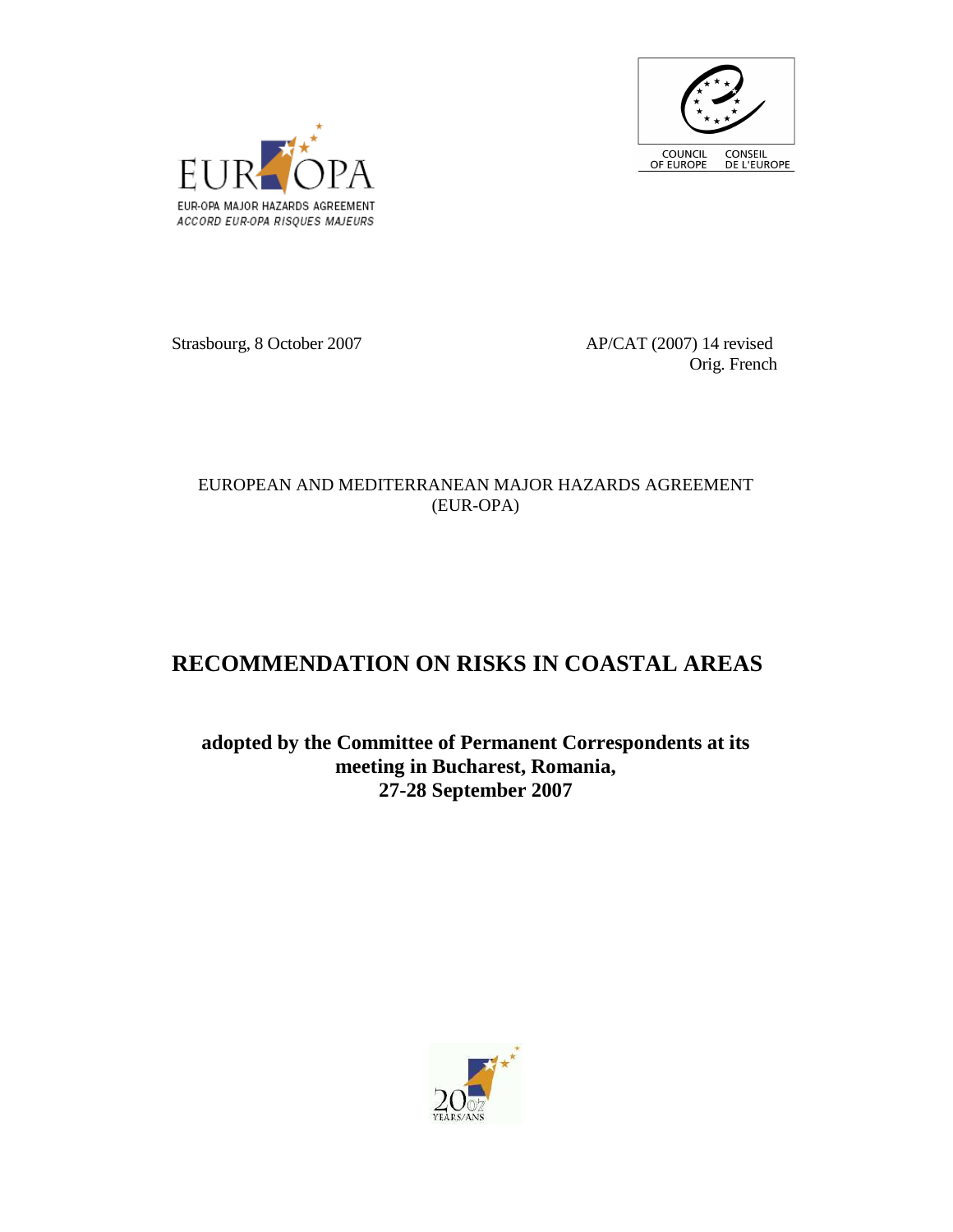



Strasbourg, 8 October 2007 AP/CAT (2007) 14 revised

Orig. French

## EUROPEAN AND MEDITERRANEAN MAJOR HAZARDS AGREEMENT (EUR-OPA)

## **RECOMMENDATION ON RISKS IN COASTAL AREAS**

**adopted by the Committee of Permanent Correspondents at its meeting in Bucharest, Romania, 27-28 September 2007** 

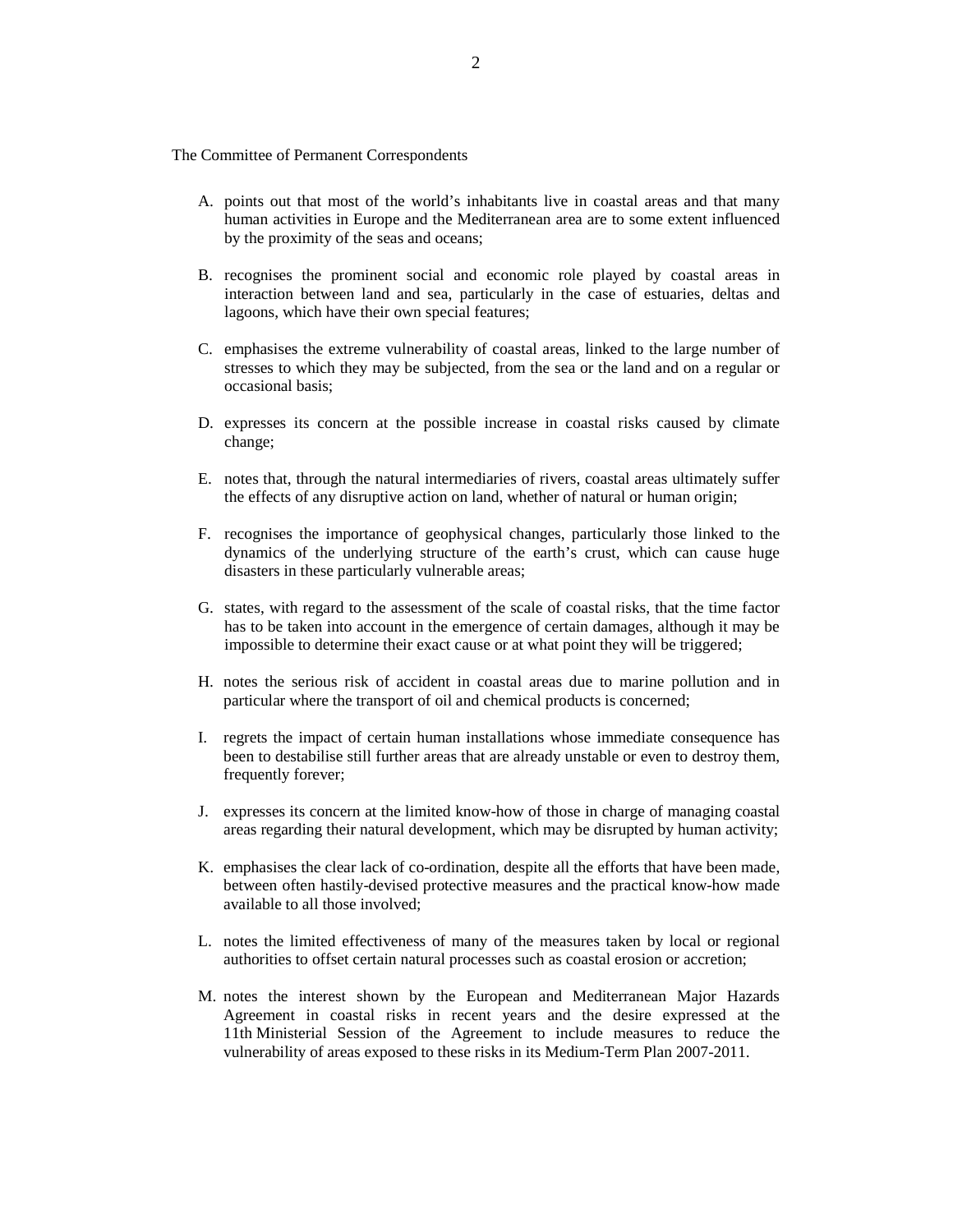The Committee of Permanent Correspondents

- A. points out that most of the world's inhabitants live in coastal areas and that many human activities in Europe and the Mediterranean area are to some extent influenced by the proximity of the seas and oceans;
- B. recognises the prominent social and economic role played by coastal areas in interaction between land and sea, particularly in the case of estuaries, deltas and lagoons, which have their own special features;
- C. emphasises the extreme vulnerability of coastal areas, linked to the large number of stresses to which they may be subjected, from the sea or the land and on a regular or occasional basis;
- D. expresses its concern at the possible increase in coastal risks caused by climate change;
- E. notes that, through the natural intermediaries of rivers, coastal areas ultimately suffer the effects of any disruptive action on land, whether of natural or human origin;
- F. recognises the importance of geophysical changes, particularly those linked to the dynamics of the underlying structure of the earth's crust, which can cause huge disasters in these particularly vulnerable areas;
- G. states, with regard to the assessment of the scale of coastal risks, that the time factor has to be taken into account in the emergence of certain damages, although it may be impossible to determine their exact cause or at what point they will be triggered;
- H. notes the serious risk of accident in coastal areas due to marine pollution and in particular where the transport of oil and chemical products is concerned;
- I. regrets the impact of certain human installations whose immediate consequence has been to destabilise still further areas that are already unstable or even to destroy them, frequently forever;
- J. expresses its concern at the limited know-how of those in charge of managing coastal areas regarding their natural development, which may be disrupted by human activity;
- K. emphasises the clear lack of co-ordination, despite all the efforts that have been made, between often hastily-devised protective measures and the practical know-how made available to all those involved;
- L. notes the limited effectiveness of many of the measures taken by local or regional authorities to offset certain natural processes such as coastal erosion or accretion;
- M. notes the interest shown by the European and Mediterranean Major Hazards Agreement in coastal risks in recent years and the desire expressed at the 11th Ministerial Session of the Agreement to include measures to reduce the vulnerability of areas exposed to these risks in its Medium-Term Plan 2007-2011.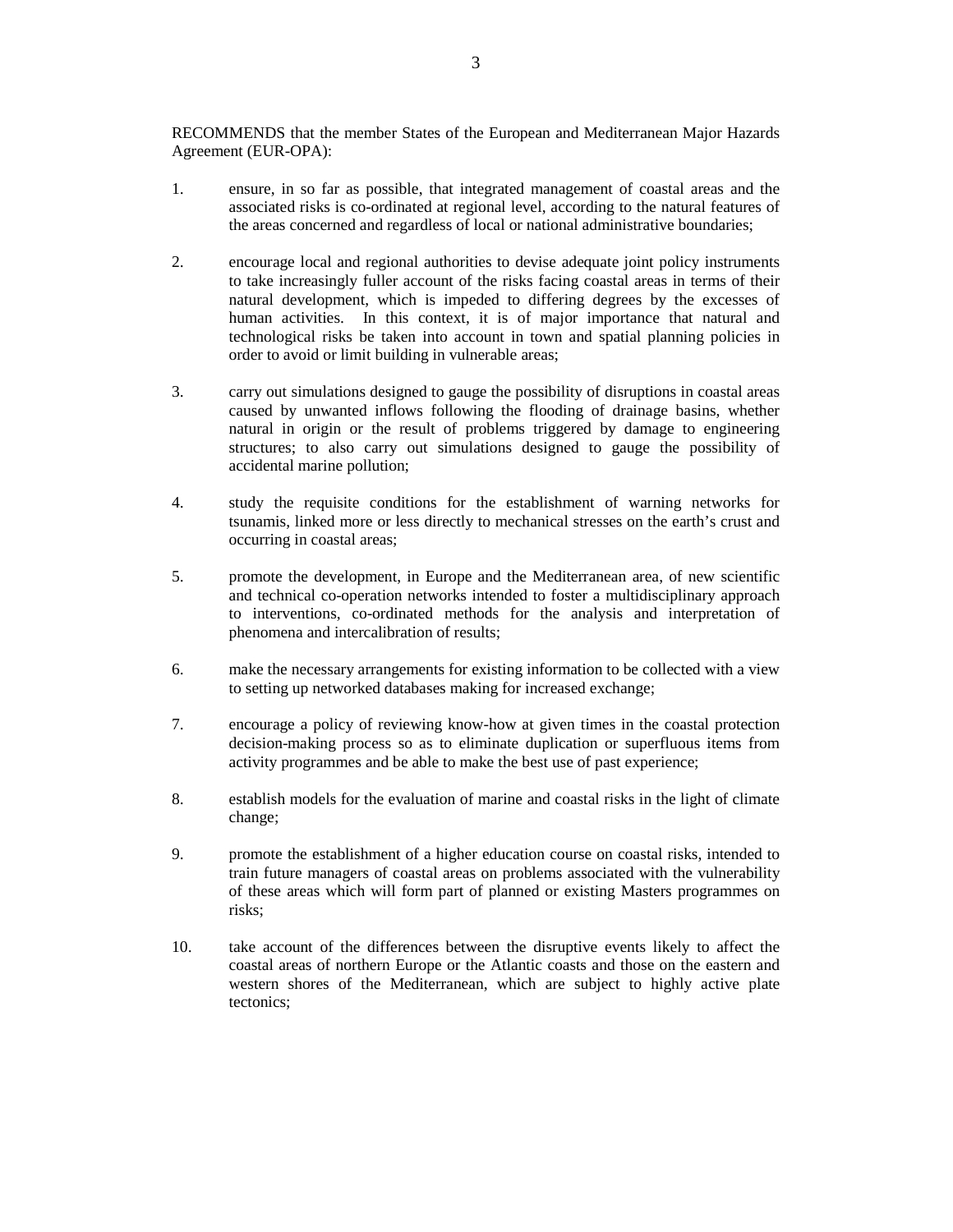RECOMMENDS that the member States of the European and Mediterranean Major Hazards Agreement (EUR-OPA):

- 1. ensure, in so far as possible, that integrated management of coastal areas and the associated risks is co-ordinated at regional level, according to the natural features of the areas concerned and regardless of local or national administrative boundaries;
- 2. encourage local and regional authorities to devise adequate joint policy instruments to take increasingly fuller account of the risks facing coastal areas in terms of their natural development, which is impeded to differing degrees by the excesses of human activities. In this context, it is of major importance that natural and technological risks be taken into account in town and spatial planning policies in order to avoid or limit building in vulnerable areas;
- 3. carry out simulations designed to gauge the possibility of disruptions in coastal areas caused by unwanted inflows following the flooding of drainage basins, whether natural in origin or the result of problems triggered by damage to engineering structures; to also carry out simulations designed to gauge the possibility of accidental marine pollution;
- 4. study the requisite conditions for the establishment of warning networks for tsunamis, linked more or less directly to mechanical stresses on the earth's crust and occurring in coastal areas;
- 5. promote the development, in Europe and the Mediterranean area, of new scientific and technical co-operation networks intended to foster a multidisciplinary approach to interventions, co-ordinated methods for the analysis and interpretation of phenomena and intercalibration of results;
- 6. make the necessary arrangements for existing information to be collected with a view to setting up networked databases making for increased exchange;
- 7. encourage a policy of reviewing know-how at given times in the coastal protection decision-making process so as to eliminate duplication or superfluous items from activity programmes and be able to make the best use of past experience;
- 8. establish models for the evaluation of marine and coastal risks in the light of climate change;
- 9. promote the establishment of a higher education course on coastal risks, intended to train future managers of coastal areas on problems associated with the vulnerability of these areas which will form part of planned or existing Masters programmes on risks;
- 10. take account of the differences between the disruptive events likely to affect the coastal areas of northern Europe or the Atlantic coasts and those on the eastern and western shores of the Mediterranean, which are subject to highly active plate tectonics;